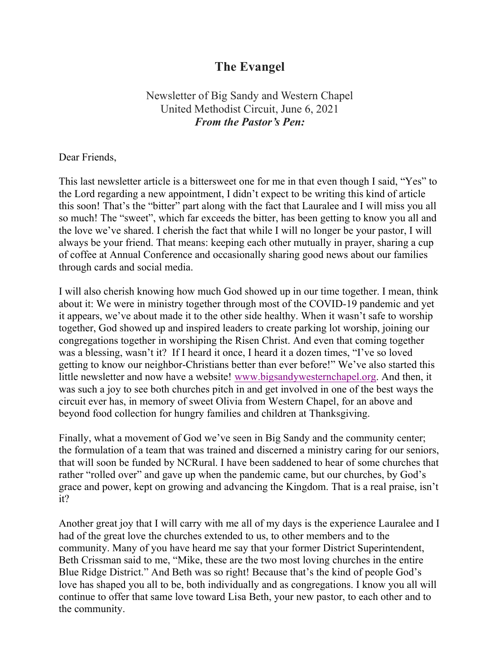# The Evangel

## Newsletter of Big Sandy and Western Chapel United Methodist Circuit, June 6, 2021 From the Pastor's Pen:

Dear Friends,

This last newsletter article is a bittersweet one for me in that even though I said, "Yes" to the Lord regarding a new appointment, I didn't expect to be writing this kind of article this soon! That's the "bitter" part along with the fact that Lauralee and I will miss you all so much! The "sweet", which far exceeds the bitter, has been getting to know you all and the love we've shared. I cherish the fact that while I will no longer be your pastor, I will always be your friend. That means: keeping each other mutually in prayer, sharing a cup of coffee at Annual Conference and occasionally sharing good news about our families through cards and social media.

I will also cherish knowing how much God showed up in our time together. I mean, think about it: We were in ministry together through most of the COVID-19 pandemic and yet it appears, we've about made it to the other side healthy. When it wasn't safe to worship together, God showed up and inspired leaders to create parking lot worship, joining our congregations together in worshiping the Risen Christ. And even that coming together was a blessing, wasn't it? If I heard it once, I heard it a dozen times, "I've so loved getting to know our neighbor-Christians better than ever before!" We've also started this little newsletter and now have a website! www.bigsandywesternchapel.org. And then, it was such a joy to see both churches pitch in and get involved in one of the best ways the circuit ever has, in memory of sweet Olivia from Western Chapel, for an above and beyond food collection for hungry families and children at Thanksgiving.

Finally, what a movement of God we've seen in Big Sandy and the community center; the formulation of a team that was trained and discerned a ministry caring for our seniors, that will soon be funded by NCRural. I have been saddened to hear of some churches that rather "rolled over" and gave up when the pandemic came, but our churches, by God's grace and power, kept on growing and advancing the Kingdom. That is a real praise, isn't it?

Another great joy that I will carry with me all of my days is the experience Lauralee and I had of the great love the churches extended to us, to other members and to the community. Many of you have heard me say that your former District Superintendent, Beth Crissman said to me, "Mike, these are the two most loving churches in the entire Blue Ridge District." And Beth was so right! Because that's the kind of people God's love has shaped you all to be, both individually and as congregations. I know you all will continue to offer that same love toward Lisa Beth, your new pastor, to each other and to the community.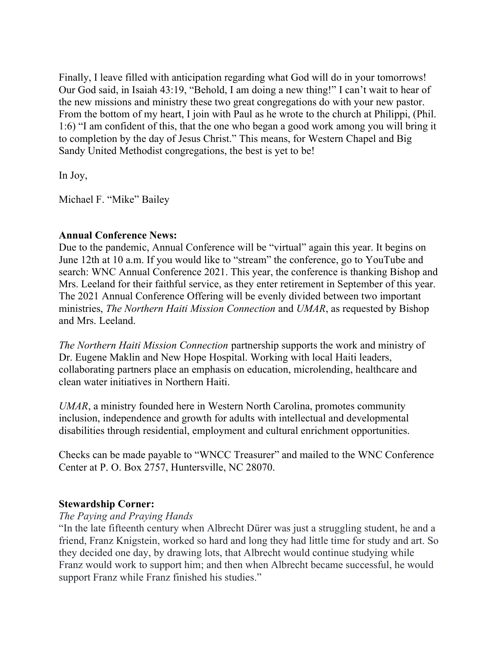Finally, I leave filled with anticipation regarding what God will do in your tomorrows! Our God said, in Isaiah 43:19, "Behold, I am doing a new thing!" I can't wait to hear of the new missions and ministry these two great congregations do with your new pastor. From the bottom of my heart, I join with Paul as he wrote to the church at Philippi, (Phil. 1:6) "I am confident of this, that the one who began a good work among you will bring it to completion by the day of Jesus Christ." This means, for Western Chapel and Big Sandy United Methodist congregations, the best is yet to be!

In Joy,

Michael F. "Mike" Bailey

#### Annual Conference News:

Due to the pandemic, Annual Conference will be "virtual" again this year. It begins on June 12th at 10 a.m. If you would like to "stream" the conference, go to YouTube and search: WNC Annual Conference 2021. This year, the conference is thanking Bishop and Mrs. Leeland for their faithful service, as they enter retirement in September of this year. The 2021 Annual Conference Offering will be evenly divided between two important ministries, The Northern Haiti Mission Connection and UMAR, as requested by Bishop and Mrs. Leeland.

The Northern Haiti Mission Connection partnership supports the work and ministry of Dr. Eugene Maklin and New Hope Hospital. Working with local Haiti leaders, collaborating partners place an emphasis on education, microlending, healthcare and clean water initiatives in Northern Haiti.

UMAR, a ministry founded here in Western North Carolina, promotes community inclusion, independence and growth for adults with intellectual and developmental disabilities through residential, employment and cultural enrichment opportunities.

Checks can be made payable to "WNCC Treasurer" and mailed to the WNC Conference Center at P. O. Box 2757, Huntersville, NC 28070.

### Stewardship Corner:

#### The Paying and Praying Hands

"In the late fifteenth century when Albrecht Dürer was just a struggling student, he and a friend, Franz Knigstein, worked so hard and long they had little time for study and art. So they decided one day, by drawing lots, that Albrecht would continue studying while Franz would work to support him; and then when Albrecht became successful, he would support Franz while Franz finished his studies."